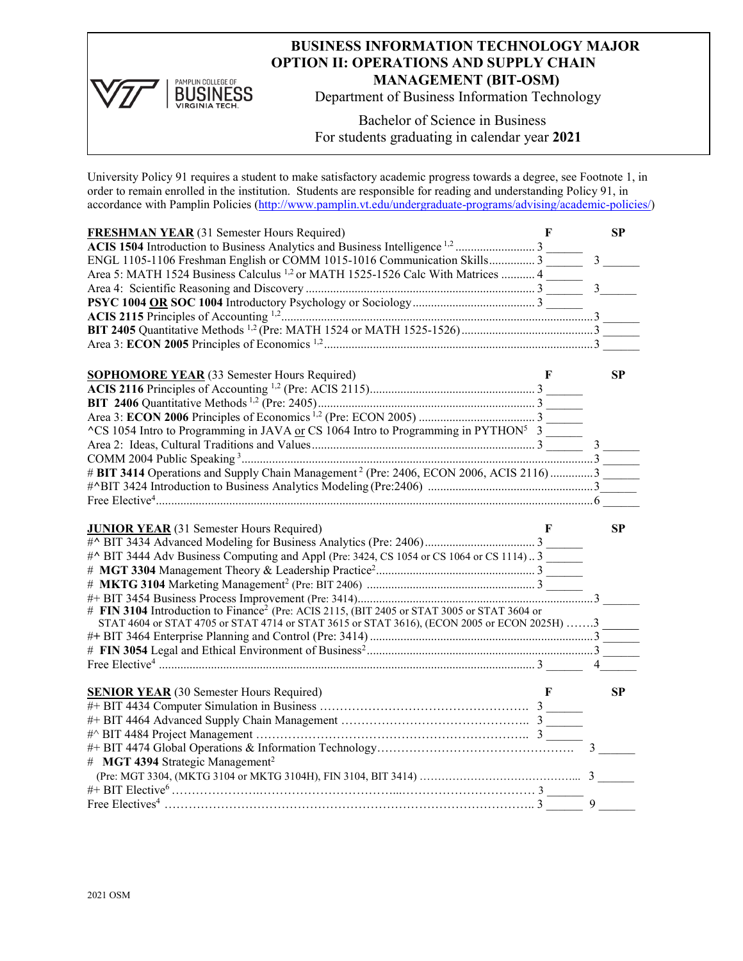

## **BUSINESS INFORMATION TECHNOLOGY MAJOR OPTION II: OPERATIONS AND SUPPLY CHAIN MANAGEMENT (BIT-OSM)**

Department of Business Information Technology

Bachelor of Science in Business For students graduating in calendar year **2021**

University Policy 91 requires a student to make satisfactory academic progress towards a degree, see Footnote 1, in order to remain enrolled in the institution. Students are responsible for reading and understanding Policy 91, in accordance with Pamplin Policies [\(http://www.pamplin.vt.edu/undergraduate-programs/advising/academic-policies/\)](http://www.pamplin.vt.edu/undergraduate-programs/advising/academic-policies/)

| <b>FRESHMAN YEAR</b> (31 Semester Hours Required)                                                       | F | <b>SP</b>      |
|---------------------------------------------------------------------------------------------------------|---|----------------|
|                                                                                                         |   |                |
| ENGL 1105-1106 Freshman English or COMM 1015-1016 Communication Skills 3                                |   | $\overline{3}$ |
| Area 5: MATH 1524 Business Calculus <sup>1,2</sup> or MATH 1525-1526 Calc With Matrices  4              |   |                |
|                                                                                                         |   | $\overline{3}$ |
|                                                                                                         |   |                |
|                                                                                                         |   |                |
|                                                                                                         |   |                |
|                                                                                                         |   |                |
|                                                                                                         |   |                |
| <b>SOPHOMORE YEAR</b> (33 Semester Hours Required)                                                      | F | <b>SP</b>      |
|                                                                                                         |   |                |
|                                                                                                         |   |                |
|                                                                                                         |   |                |
| $\text{C}$ S 1054 Intro to Programming in JAVA or CS 1064 Intro to Programming in PYTHON <sup>5</sup> 3 |   |                |
|                                                                                                         |   |                |
|                                                                                                         |   |                |
| # BIT 3414 Operations and Supply Chain Management <sup>2</sup> (Pre: 2406, ECON 2006, ACIS 2116)3       |   |                |
|                                                                                                         |   |                |
|                                                                                                         |   |                |
|                                                                                                         |   |                |
|                                                                                                         |   |                |
|                                                                                                         |   |                |
| <b>JUNIOR YEAR</b> (31 Semester Hours Required)                                                         |   | SP             |
|                                                                                                         |   |                |
| #^ BIT 3444 Adv Business Computing and Appl (Pre: 3424, CS 1054 or CS 1064 or CS 1114)3                 |   |                |
|                                                                                                         |   |                |
|                                                                                                         |   |                |
|                                                                                                         |   |                |
| # FIN 3104 Introduction to Finance <sup>2</sup> (Pre: ACIS 2115, (BIT 2405 or STAT 3005 or STAT 3604 or |   |                |
| STAT 4604 or STAT 4705 or STAT 4714 or STAT 3615 or STAT 3616), (ECON 2005 or ECON 2025H) 3             |   |                |
|                                                                                                         |   |                |
|                                                                                                         |   |                |
|                                                                                                         |   |                |
|                                                                                                         |   |                |
| <b>SENIOR YEAR</b> (30 Semester Hours Required)                                                         | F | SP             |
|                                                                                                         |   |                |
|                                                                                                         |   |                |
|                                                                                                         |   |                |
|                                                                                                         |   |                |
| # MGT 4394 Strategic Management <sup>2</sup>                                                            |   |                |
|                                                                                                         |   |                |
|                                                                                                         |   | 9              |